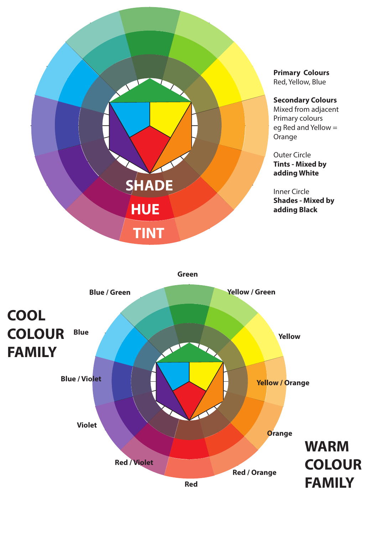

**Primary Colours**  Red, Yellow, Blue

## **Secondary Colours**

Mixed from adjacent Primary colours eg Red and Yellow = Orange

Outer Circle **Tints - Mixed by adding White**

Inner Circle **Shades - Mixed by adding Black**

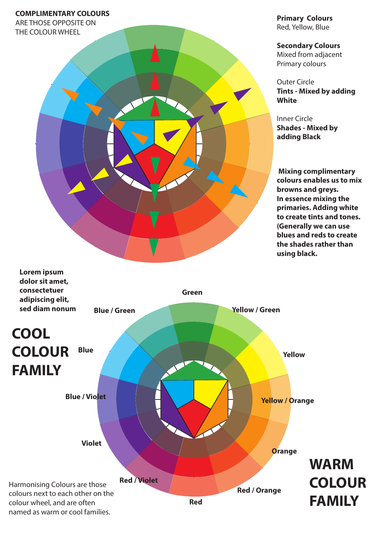## **COMPLIMENTARY COLOURS**

ARE THOSE OPPOSITE ON THE COLOUR WHEEL

## **Primary Colours**  Red, Yellow, Blue

**Secondary Colours** Mixed from adjacent Primary colours

Outer Circle **Tints - Mixed by adding White**

Inner Circle **Shades - Mixed by adding Black**

 **Mixing complimentary colours enables us to mix browns and greys. In essence mixing the primaries. Adding white to create tints and tones. (Generally we can use blues and reds to create the shades rather than using black.**

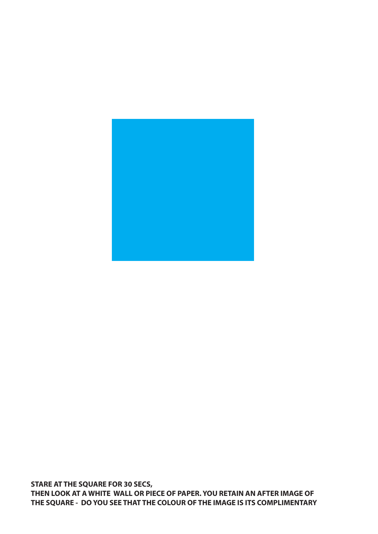**STARE AT THE SQUARE FOR 30 SECS, THEN LOOK AT A WHITE WALL OR PIECE OF PAPER. YOU RETAIN AN AFTER IMAGE OF THE SQUARE - DO YOU SEE THAT THE COLOUR OF THE IMAGE IS ITS COMPLIMENTARY** 

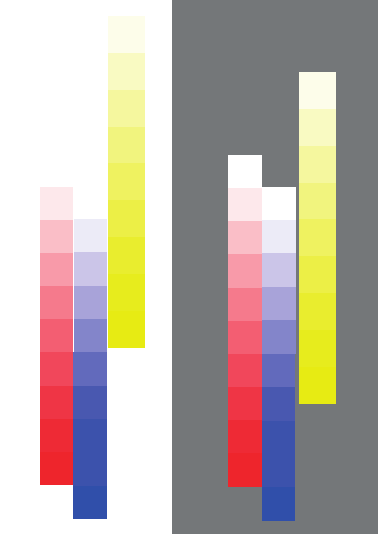

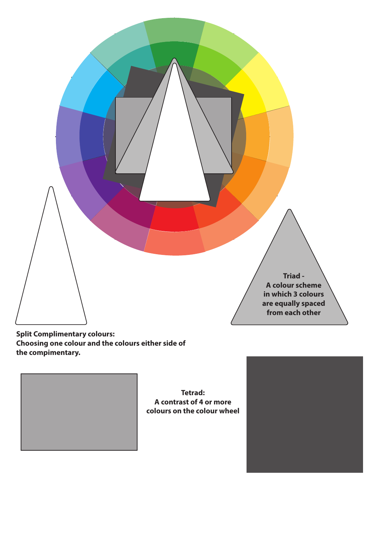

**Split Complimentary colours: Choosing one colour and the colours either side of the compimentary.**

> **Tetrad: A contrast of 4 or more colours on the colour wheel**